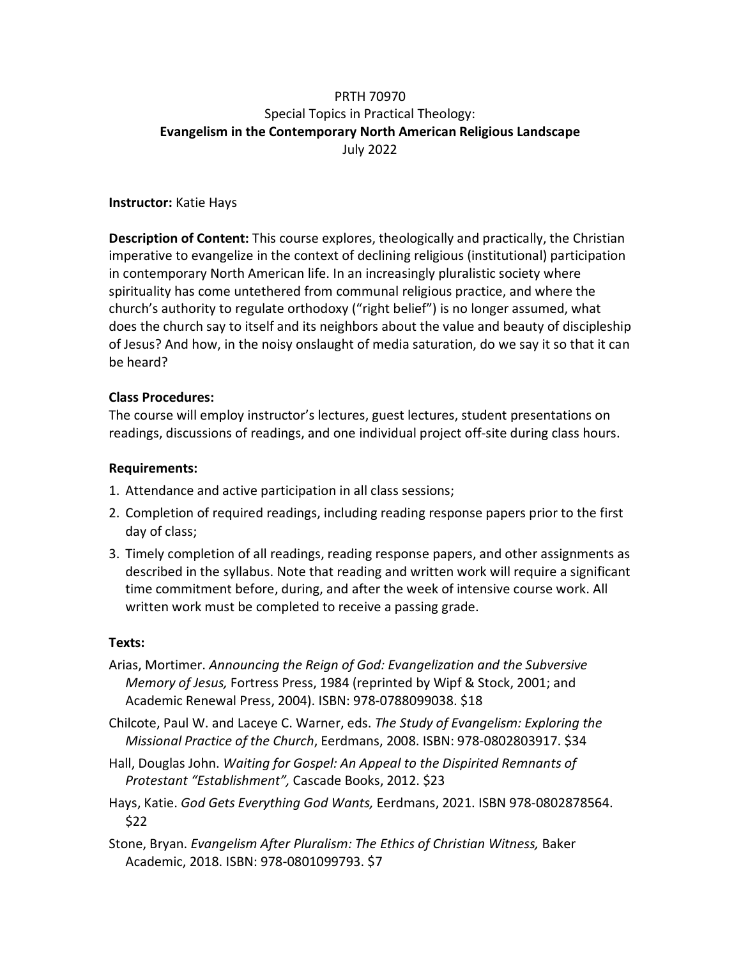## PRTH 70970 Special Topics in Practical Theology: **Evangelism in the Contemporary North American Religious Landscape** July 2022

**Instructor:** Katie Hays

**Description of Content:** This course explores, theologically and practically, the Christian imperative to evangelize in the context of declining religious (institutional) participation in contemporary North American life. In an increasingly pluralistic society where spirituality has come untethered from communal religious practice, and where the church's authority to regulate orthodoxy ("right belief") is no longer assumed, what does the church say to itself and its neighbors about the value and beauty of discipleship of Jesus? And how, in the noisy onslaught of media saturation, do we say it so that it can be heard?

### **Class Procedures:**

The course will employ instructor's lectures, guest lectures, student presentations on readings, discussions of readings, and one individual project off-site during class hours.

### **Requirements:**

- 1. Attendance and active participation in all class sessions;
- 2. Completion of required readings, including reading response papers prior to the first day of class;
- 3. Timely completion of all readings, reading response papers, and other assignments as described in the syllabus. Note that reading and written work will require a significant time commitment before, during, and after the week of intensive course work. All written work must be completed to receive a passing grade.

#### **Texts:**

- Arias, Mortimer. *Announcing the Reign of God: Evangelization and the Subversive Memory of Jesus,* Fortress Press, 1984 (reprinted by Wipf & Stock, 2001; and Academic Renewal Press, 2004). ISBN: 978-0788099038. \$18
- Chilcote, Paul W. and Laceye C. Warner, eds. *The Study of Evangelism: Exploring the Missional Practice of the Church*, Eerdmans, 2008. ISBN: 978-0802803917. \$34
- Hall, Douglas John. *Waiting for Gospel: An Appeal to the Dispirited Remnants of Protestant "Establishment",* Cascade Books, 2012. \$23
- Hays, Katie. *God Gets Everything God Wants,* Eerdmans, 2021. ISBN 978-0802878564. \$22
- Stone, Bryan. *Evangelism After Pluralism: The Ethics of Christian Witness,* Baker Academic, 2018. ISBN: 978-0801099793. \$7